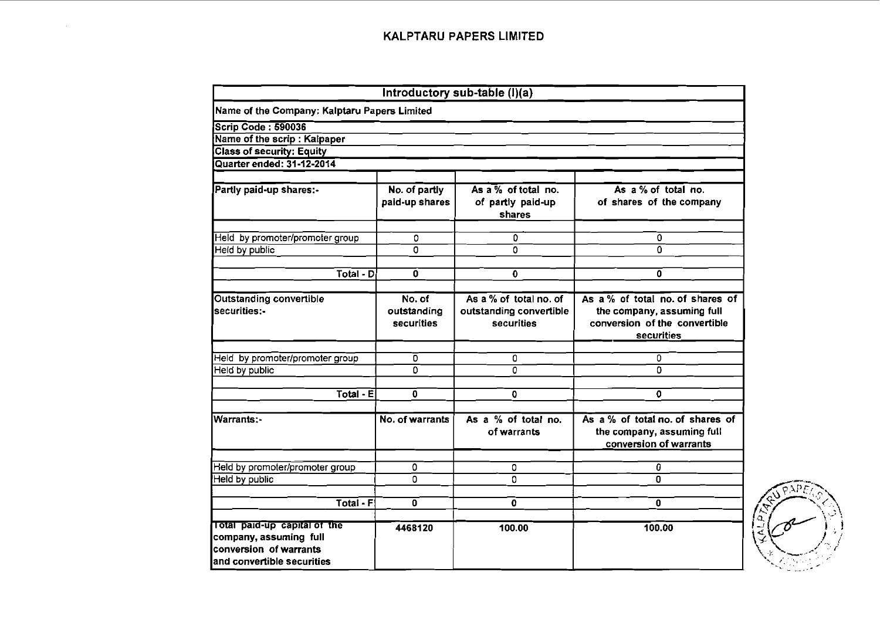|                                                                                                                 |                                     | Introductory sub-table (I)(a)                                   |                                                                                                               |
|-----------------------------------------------------------------------------------------------------------------|-------------------------------------|-----------------------------------------------------------------|---------------------------------------------------------------------------------------------------------------|
| Name of the Company: Kalptaru Papers Limited                                                                    |                                     |                                                                 |                                                                                                               |
| Scrip Code: 590036                                                                                              |                                     |                                                                 |                                                                                                               |
| Name of the scrip: Kalpaper                                                                                     |                                     |                                                                 |                                                                                                               |
| <b>Class of security: Equity</b>                                                                                |                                     |                                                                 |                                                                                                               |
| Quarter ended: 31-12-2014                                                                                       |                                     |                                                                 |                                                                                                               |
| Partly paid-up shares:-                                                                                         | No. of partly<br>paid-up shares     | As a % of total no.<br>of partly paid-up<br>shares              | As a % of total no.<br>of shares of the company                                                               |
| Held by promoter/promoter group                                                                                 | 0                                   | 0                                                               | 0                                                                                                             |
| Held by public                                                                                                  | $\Omega$                            | 0                                                               | 0                                                                                                             |
| Total - D                                                                                                       | $\mathbf{0}$                        | $\mathbf 0$                                                     | 0                                                                                                             |
|                                                                                                                 |                                     |                                                                 |                                                                                                               |
| <b>Outstanding convertible</b><br>securities:-                                                                  | No. of<br>outstanding<br>securities | As a % of total no. of<br>outstanding convertible<br>securities | As a % of total no. of shares of<br>the company, assuming full<br>conversion of the convertible<br>securities |
| Held by promoter/promoter group                                                                                 | 0                                   | 0                                                               | 0                                                                                                             |
| Held by public                                                                                                  | 0                                   | 0                                                               | 0                                                                                                             |
|                                                                                                                 | $\overline{\mathfrak{o}}$           |                                                                 |                                                                                                               |
| Total - E                                                                                                       |                                     | $\mathbf 0$                                                     | 0                                                                                                             |
| Warrants:-                                                                                                      | No. of warrants                     | As a % of total no.<br>of warrants                              | As a % of total no. of shares of<br>the company, assuming full<br>conversion of warrants                      |
| Held by promoter/promoter group                                                                                 | 0                                   | 0                                                               | 0                                                                                                             |
| Held by public                                                                                                  | 0                                   | 0                                                               | $\Omega$                                                                                                      |
| <b>Total - F</b>                                                                                                | $\mathbf{0}$                        | $\mathbf{O}$                                                    | 0                                                                                                             |
| Total paid-up capital of the<br>company, assuming full<br>conversion of warrants<br>land convertible securities | 4468120                             | 100.00                                                          | 100.00                                                                                                        |

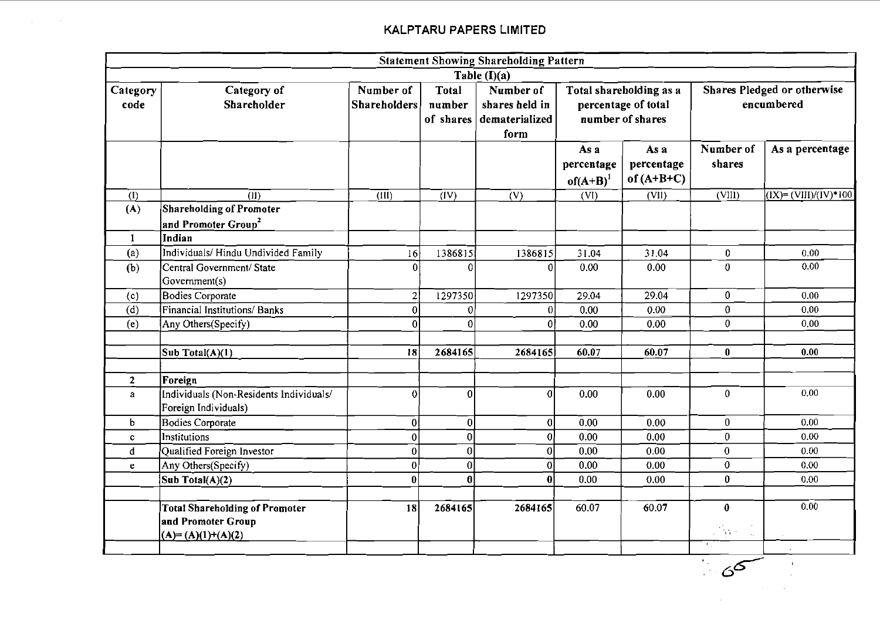$\sim 10$ 

 $\mathbb{R}^2$ 

|                  |                                                                                    |                                  |                              | <b>Statement Showing Shareholding Pattern</b>         |                                     |                                                                    |                                                                      |                                                                      |
|------------------|------------------------------------------------------------------------------------|----------------------------------|------------------------------|-------------------------------------------------------|-------------------------------------|--------------------------------------------------------------------|----------------------------------------------------------------------|----------------------------------------------------------------------|
|                  |                                                                                    |                                  |                              | Table (I)(a)                                          |                                     |                                                                    |                                                                      |                                                                      |
| Category<br>code | Category of<br>Shareholder                                                         | Number of<br><b>Shareholders</b> | Total<br>number<br>of shares | Number of<br>shares held in<br>dematerialized<br>form |                                     | Total shareholding as a<br>percentage of total<br>number of shares |                                                                      | Shares Pledged or otherwise<br>encumbered                            |
|                  |                                                                                    |                                  |                              |                                                       | As a<br>percentage<br>$of(A+B)^{1}$ | As a<br>percentage<br>of $(A+B+C)$                                 | Number of<br>shares                                                  | As a percentage                                                      |
| $\left($ I)      | (II)                                                                               | $\overline{(III)}$               | $\overline{(IV)}$            | $\overline{(V)}$                                      | $\overline{\text{(VI)}}$            | $\overline{\text{(VII)}}$                                          | $\overline{\text{(VIII)}}$                                           | $\overline{(\text{IX})} = \overline{(\text{VIII})/(\text{IV})}$ *100 |
| (A)              | Shareholding of Promoter<br>and Promoter Group <sup>2</sup>                        |                                  |                              |                                                       |                                     |                                                                    |                                                                      |                                                                      |
| -1               | Indian                                                                             |                                  |                              |                                                       |                                     |                                                                    |                                                                      |                                                                      |
| (a)              | Individuals/Hindu Undivided Family                                                 | 16                               | 1386815                      | 1386815                                               | 31.04                               | 31.04                                                              | $\bf{0}$                                                             | 0.00                                                                 |
| (b)              | Central Government/ State<br>Government(s)                                         | $\Omega$                         | $\Omega$                     | $\vert 0 \vert$                                       | 0.00                                | 0.00                                                               | $\mathbf{0}$                                                         | 0.00                                                                 |
| (c)              | <b>Bodies Corporate</b>                                                            | $\overline{2}$                   | 1297350                      | 1297350                                               | 29.04                               | 29.04                                                              | $\mathbf{0}$                                                         | 0.00                                                                 |
| (d)              | Financial Institutions/Banks                                                       | $\mathbf{0}$                     | $\Omega$                     | 0                                                     | 0.00                                | 0.00                                                               | $\mathbf{0}$                                                         | 0.00                                                                 |
| (e)              | Any Others(Specify)                                                                | $\Omega$                         | $\Omega$                     | 0                                                     | 0.00                                | 0.00                                                               | $\overline{0}$                                                       | 0,00                                                                 |
|                  | Sub Total(A)(1)                                                                    | 18                               | 2684165                      | 2684165                                               | 60.07                               | 60.07                                                              | $\mathbf{0}$                                                         | 0.00                                                                 |
| $\overline{2}$   | Foreign                                                                            |                                  |                              |                                                       |                                     |                                                                    |                                                                      |                                                                      |
| a                | Individuals (Non-Residents Individuals/<br>Foreign Individuals)                    | $\mathbf 0$                      | $\overline{0}$               | $\Omega$                                              | 0.00                                | 0.00                                                               | $\mathbf{0}$                                                         | 0.00                                                                 |
| b                | <b>Bodies Corporate</b>                                                            | $\boldsymbol{0}$                 | $\boldsymbol{0}$             | 0                                                     | 0.00                                | 0.00                                                               | $\mathbf{0}$                                                         | 0.00                                                                 |
| $\mathbf{C}$     | Institutions                                                                       | $\pmb{0}$                        | $\bf{0}$                     | $\mathfrak{q}$                                        | 0.00                                | 0.00                                                               | $\mathbf{0}$                                                         | 0.00                                                                 |
| d                | Qualified Foreign Investor                                                         | $\bf{0}$                         | $\bf{0}$                     | $\overline{0}$                                        | 0.00                                | 0.00                                                               | $\mathbf{0}$                                                         | 0.00                                                                 |
| e                | Any Others(Specify)                                                                | $\bf{0}$                         | $\bf{0}$                     | $\mathbf{0}$                                          | 0.00                                | 0.00                                                               | $\mathbf 0$                                                          | 0.00                                                                 |
|                  | Sub Total(A)(2)                                                                    | $\bf{0}$                         | $\bf{0}$                     | $\bf{0}$                                              | 0.00                                | 0.00                                                               | $\bf{0}$                                                             | 0.00                                                                 |
|                  | <b>Total Shareholding of Promoter</b><br>and Promoter Group<br>$(A)=(A)(1)+(A)(2)$ | 18                               | 2684165                      | 2684165                                               | 60.07                               | 60.07                                                              | $\bf{0}$<br>$\mathbb{R}^{n \times n}$<br>$\mathcal{L}_{\mathcal{L}}$ | 0.00                                                                 |

 $\sim$   $6<sup>6</sup>$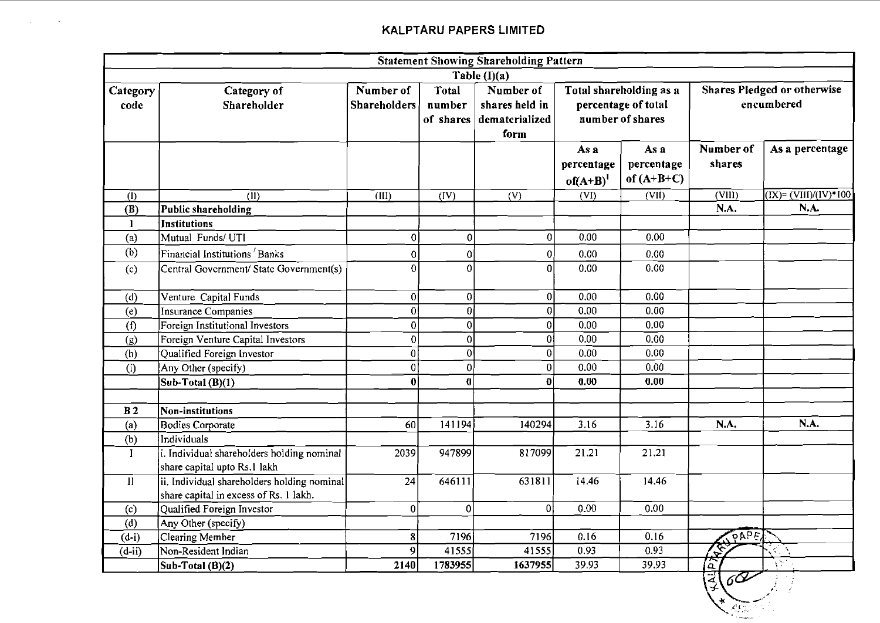$\sim 100$ 

in 1

|                           |                                                                                       |                                  |                              | <b>Statement Showing Shareholding Pattern</b>         |                                                                                                                 |                                    |                         |                                                                         |
|---------------------------|---------------------------------------------------------------------------------------|----------------------------------|------------------------------|-------------------------------------------------------|-----------------------------------------------------------------------------------------------------------------|------------------------------------|-------------------------|-------------------------------------------------------------------------|
|                           |                                                                                       |                                  |                              | Table $(I)(a)$                                        |                                                                                                                 |                                    |                         |                                                                         |
| Category<br>code          | Category of<br>Shareholder                                                            | Number of<br><b>Shareholders</b> | Total<br>number<br>of shares | Number of<br>shares held in<br>dematerialized<br>form | Shares Pledged or otherwise<br>Total shareholding as a<br>percentage of total<br>encumbered<br>number of shares |                                    |                         |                                                                         |
|                           |                                                                                       |                                  |                              |                                                       | As a<br>percentage<br>$of(A+B)^{1}$                                                                             | As a<br>percentage<br>of $(A+B+C)$ | Number of<br>shares     | As a percentage                                                         |
| $\overline{(\mathrm{I})}$ | $\overline{(\text{II})}$                                                              | $\overline{\text{(III)}}$        | $\overline{\text{(IV)}}$     | $\overline{(V)}$                                      | $\overline{\text{(VI)}}$                                                                                        | $\overline{\text{(VII)}}$          | $\overline{\text{CMB}}$ | $\overline{(\text{IX})}$ = $\overline{(\text{VIII})/(\text{IV})}$ * 100 |
| (B)                       | Public shareholding                                                                   |                                  |                              |                                                       |                                                                                                                 |                                    | N.A.                    | N.A.                                                                    |
| $\mathbf{1}$              | <b>Institutions</b>                                                                   |                                  |                              |                                                       |                                                                                                                 |                                    |                         |                                                                         |
| (a)                       | Mutual Funds/UTI                                                                      | $\overline{0}$                   | $\boldsymbol{0}$             | $\mathbf 0$                                           | 0.00                                                                                                            | 0.00                               |                         |                                                                         |
| (b)                       | Financial Institutions <sup>/</sup> Banks                                             | $\overline{0}$                   | 0                            | $\mathbf 0$                                           | 0.00                                                                                                            | 0.00                               |                         |                                                                         |
| (c)                       | Central Government/ State Government(s)                                               | $\theta$                         | $\overline{0}$               | $\Omega$                                              | 0.00                                                                                                            | 0.00                               |                         |                                                                         |
| (d)                       | Venture Capital Funds                                                                 | $\overline{0}$                   | $\mathbf{0}$                 | $\boldsymbol{0}$                                      | 0.00                                                                                                            | 0.00                               |                         |                                                                         |
| (e)                       | <b>Insurance Companies</b>                                                            | $\overline{0}$                   | $\overline{0}$               | $\overline{0}$                                        | 0.00                                                                                                            | 0.00                               |                         |                                                                         |
| (f)                       | Foreign Institutional Investors                                                       | $\overline{0}$                   | $\overline{0}$               | $\overline{0}$                                        | 0.00                                                                                                            | 0.00                               |                         |                                                                         |
| (g)                       | Foreign Venture Capital Investors                                                     | $\overline{0}$                   | 0                            | οl                                                    | 0.00                                                                                                            | 0.00                               |                         |                                                                         |
| (h)                       | Qualified Foreign Investor                                                            | $\bf{0}$                         | $\overline{0}$               | $\overline{0}$                                        | 0.00                                                                                                            | 0.00                               |                         |                                                                         |
| (i)                       | Any Other (specify)                                                                   | 0                                | $\overline{0}$               | $\mathbf 0$                                           | 0.00                                                                                                            | 0.00                               |                         |                                                                         |
|                           | Sub-Total $(B)(1)$                                                                    | $\bf{0}$                         | $\bf{0}$                     | $\mathbf{0}$                                          | 0.00                                                                                                            | 0.00                               |                         |                                                                         |
| B <sub>2</sub>            | Non-institutions                                                                      |                                  |                              |                                                       |                                                                                                                 |                                    |                         |                                                                         |
| (a)                       | <b>Bodies Corporate</b>                                                               | 60                               | 141194                       | 140294                                                | 3.16                                                                                                            | 3.16                               | N.A.                    | N.A.                                                                    |
| (b)                       | Individuals                                                                           |                                  |                              |                                                       |                                                                                                                 |                                    |                         |                                                                         |
| $\bf{I}$                  | i. Individual shareholders holding nominal<br>share capital upto Rs.1 lakh            | 2039                             | 947899                       | 817099                                                | 21.21                                                                                                           | 21.21                              |                         |                                                                         |
| $\mathbf{I}$              | ii. Individual shareholders holding nominal<br>share capital in excess of Rs. 1 lakh. | 24                               | 646111                       | 631811                                                | 14.46                                                                                                           | 14.46                              |                         |                                                                         |
| (c)                       | Qualified Foreign Investor                                                            | 0                                | $\mathbf{0}$                 | $\Omega$                                              | 0.00                                                                                                            | 0.00                               |                         |                                                                         |
| (d)                       | Any Other (specify)                                                                   |                                  |                              |                                                       |                                                                                                                 |                                    |                         |                                                                         |
| $(d-i)$                   | <b>Clearing Member</b>                                                                | 8                                | 7196                         | 7196                                                  | 0.16                                                                                                            | 0.16                               | φρΡε)                   |                                                                         |
| $(d - ii)$                | Non-Resident Indian                                                                   | 9                                | 41555                        | 41555                                                 | 0.93                                                                                                            | 0.93                               |                         | $\Delta$<br>K.                                                          |
|                           | Sub-Total (B)(2)                                                                      | 2140                             | 1783955                      | 1637955                                               | 39.93                                                                                                           | 39.93                              | 零                       | $\sqrt{2}$                                                              |

 $\frac{4}{3}$ 6  $\int_{\mathbb{R}^d} \frac{1}{\epsilon} \, d\mathbf{x}$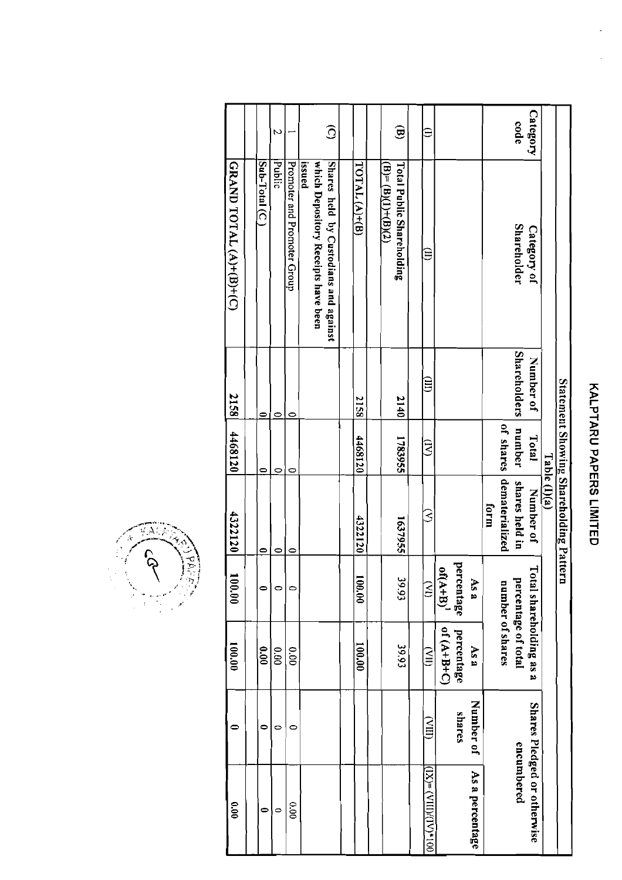| 00.00                                | 0                 | 100.00                 | 100.00                | 4322120                                | 4468120   | 2158                | GRAND TOTAL (A)+(B)+(C)               |                        |
|--------------------------------------|-------------------|------------------------|-----------------------|----------------------------------------|-----------|---------------------|---------------------------------------|------------------------|
|                                      |                   |                        |                       |                                        |           |                     |                                       |                        |
| 0                                    | 0                 | 0.00                   | 0                     | 0                                      | 0         | 0                   | Sub-Total (C)                         |                        |
| $\circ$                              | 0                 | 0.00                   | 0                     | $\circ$                                | 0         | $\bullet$           | Public                                | $\overline{a}$         |
| 000                                  | $\mathbf{\circ}$  | 0.00                   | 0                     | 0                                      | 0         | ∊                   | Promoter and Promoter Group           |                        |
|                                      |                   |                        |                       |                                        |           |                     | issued                                |                        |
|                                      |                   |                        |                       |                                        |           |                     | which Depository Receipts have been   |                        |
|                                      |                   |                        |                       |                                        |           |                     | Shares held by Custodians and against | $\widehat{\odot}$      |
|                                      |                   |                        |                       |                                        |           |                     |                                       |                        |
|                                      |                   | 00.001                 | 100.00                | 4322120                                | 4468120   | 2158                | TOTAL <sub>(A)+(B)</sub>              |                        |
|                                      |                   |                        |                       |                                        |           |                     |                                       |                        |
|                                      |                   |                        |                       |                                        |           |                     | $(B)=(B)(1)+(B)(2)$                   |                        |
|                                      |                   | 39.93                  | 39.93                 | 1637955                                | 1783955   | 2140                | <b>Total Public Shareholding</b>      | $\mathbf{\widehat{g}}$ |
|                                      |                   |                        |                       |                                        |           |                     |                                       |                        |
| $N = \frac{N}{N}$ (VIII)/(IIV) = (XI | $\widetilde{\Xi}$ | $\widetilde{\Xi}$      | $\tilde{\mathcal{E}}$ | 3                                      | ਤੇ        | $\widehat{\Xi}$     | $\widehat{\Xi}$                       | Ξ                      |
|                                      |                   | $O+6+H+O$              | $of (A+B)^{1}$        |                                        |           |                     |                                       |                        |
|                                      | shares            | percentage             | percentage            |                                        |           |                     |                                       |                        |
| As a percentage                      | Number of         | As a                   | As a                  |                                        |           |                     |                                       |                        |
|                                      |                   |                        |                       | form                                   |           |                     |                                       |                        |
|                                      |                   | number of shares       |                       | dematerialized                         | of shares |                     |                                       |                        |
| encumbered                           |                   | percentage of total    |                       | shares held in                         | number    | <b>Shareholders</b> | <b>Shareholder</b>                    | code                   |
| Shares Pledged or otherwise          |                   | otal shareholding as a |                       | Number of                              | Total     | Number of           | Category of                           | <b>Category</b>        |
|                                      |                   |                        |                       | Table (I)(a)                           |           |                     |                                       |                        |
|                                      |                   |                        |                       | Statement Showing Shareholding Pattern |           |                     |                                       |                        |

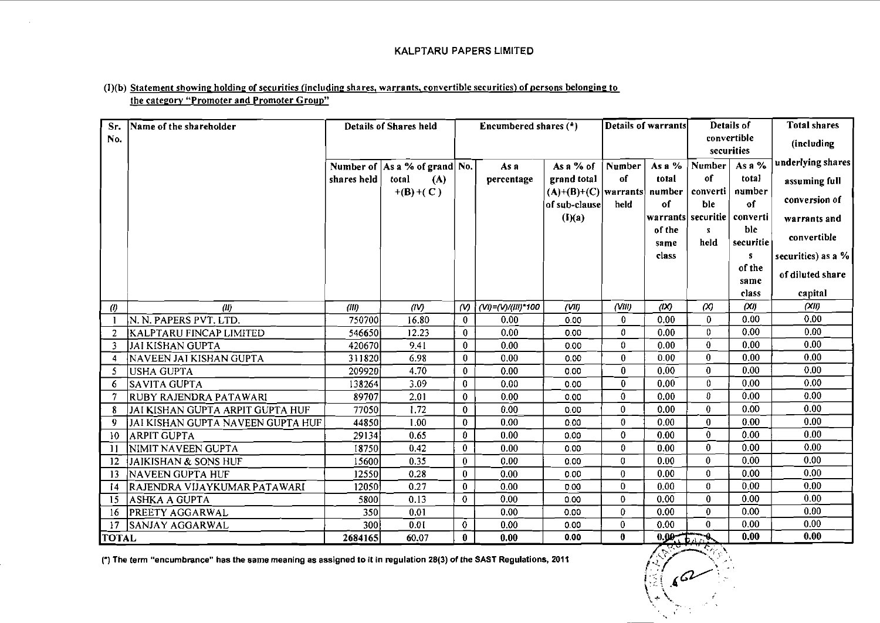### (I)(b) Statement showing holding of securities (including shares, warrants, convertible securities) of persons belonging to the category "Promoter and Promoter Group"

| Sr.               | Name of the shareholder           |                 | <b>Details of Shares held</b>     |                      | Encumbered shares (*)      |                                       |                     | <b>Details of warrants</b> |              | Details of                  | <b>Total shares</b> |
|-------------------|-----------------------------------|-----------------|-----------------------------------|----------------------|----------------------------|---------------------------------------|---------------------|----------------------------|--------------|-----------------------------|---------------------|
| No.               |                                   |                 |                                   |                      |                            |                                       |                     |                            |              | convertible                 | (including          |
|                   |                                   |                 |                                   |                      |                            |                                       |                     |                            |              | securities                  | underlying shares   |
|                   |                                   |                 | Number of $ As a \%$ of grand No. |                      | As a                       | As a $%$ of                           | <b>Number</b><br>of | As a %<br>total            | Number<br>of | As a $%$<br>total           |                     |
|                   |                                   | shares held     | total<br>(A)<br>$+(B)+(C)$        |                      | percentage                 | grand total<br>$(A)+(B)+(C)$ warrants |                     | number                     | converti     | number                      | assuming full       |
|                   |                                   |                 |                                   |                      |                            | of sub-clause                         | held                | of                         | ble          | of                          | conversion of       |
|                   |                                   |                 |                                   |                      |                            | (I)(a)                                |                     |                            |              | warrants securitie converti | warrants and        |
|                   |                                   |                 |                                   |                      |                            |                                       |                     | of the                     | s            | ble                         |                     |
|                   |                                   |                 |                                   |                      |                            |                                       |                     | same                       | held         | securitie                   | convertible         |
|                   |                                   |                 |                                   |                      |                            |                                       |                     | class                      |              | S                           | securities) as a %  |
|                   |                                   |                 |                                   |                      |                            |                                       |                     |                            |              | of the                      | of diluted share    |
|                   |                                   |                 |                                   |                      |                            |                                       |                     |                            |              | same<br>class               |                     |
|                   |                                   |                 |                                   |                      |                            | (VII)                                 | (VM)                | (X)                        | $\alpha$     | (XI)                        | capital<br>(XII)    |
| $\left( l\right)$ | (11)<br>N. N. PAPERS PVT. LTD.    | (III)<br>750700 | (IV)<br>16.80                     | $\omega$<br>$\bf{0}$ | (VI)=(V)/(III)*100<br>0.00 | 0.00                                  | $\bf{0}$            | 0.00                       | $\bf{0}$     | 0.00                        | 0.00                |
| 2                 | <b>KALPTARU FINCAP LIMITED</b>    | 546650          | 12.23                             | $\bf{0}$             | 0.00                       | 0.00                                  | 0                   | 0.00                       | 0            | 0.00                        | 0.00                |
| 3                 | JAI KISHAN GUPTA                  | 420670          | 9.41                              | 0                    | 0.00                       | 0.00                                  | 0                   | 0.00                       | 0            | 0.00                        | 0.00                |
| -4                | NAVEEN JAI KISHAN GUPTA           | 311820          | 6.98                              | $\bf{0}$             | 0.00                       | 0.00                                  | 0                   | 0.00                       | 0            | 0.00                        | 0.00                |
| 5                 | USHA GUPTA                        | 209920          | 4.70                              | $\mathbf{0}$         | 0.00                       | 0.00                                  | $\mathbf{0}$        | 0.00                       | $\mathbf{0}$ | 0.00                        | 0.00                |
| 6                 | SAVITA GUPTA                      | 138264          | 3.09                              | $\bf{0}$             | 0.00                       | 0.00                                  | $\mathbf{0}$        | 0.00                       | 0            | 0.00                        | 0.00                |
| 7                 | RUBY RAJENDRA PATAWARI            | 89707           | 2.01                              | $\pmb{0}$            | 0.00                       | 0.00                                  | $\bf{0}$            | 0.00                       | 0            | 0.00                        | 0.00                |
| -8                | JAI KISHAN GUPTA ARPIT GUPTA HUF  | 77050           | 1.72                              | $\bf{0}$             | 0.00                       | 0.00                                  | $\bf{0}$            | 0.00                       | 0            | 0.00                        | 0.00                |
| 9                 | JAI KISHAN GUPTA NAVEEN GUPTA HUF | 44850           | 1.00                              | $\mathbf 0$          | 0.00                       | 0.00                                  | $\theta$            | 0.00                       | $\bf{0}$     | 0.00                        | 0.00                |
| 10                | <b>ARPIT GUPTA</b>                | 29134           | 0.65                              | $\bf{0}$             | 0.00                       | 0.00                                  | 0                   | 0.00                       | 0            | 0.00                        | 0.00                |
| -11               | NIMIT NAVEEN GUPTA                | 18750           | 0.42                              | $\bf{0}$             | 0.00                       | 0.00                                  | $\theta$            | 0.00                       | 0            | 0.00                        | 0.00                |
| 12                | <b>JAIKISHAN &amp; SONS HUF</b>   | 15600           | 0.35                              | $\bf{0}$             | 0.00                       | 0.00                                  | 0                   | 0.00                       | $\bf{0}$     | 0.00                        | 0.00                |
| 13                | NAVEEN GUPTA HUF                  | 12550           | 0.28                              | $\bf{0}$             | 0.00                       | 0.00                                  | 0                   | 0.00                       | 0            | 0.00                        | 0.00                |
| 14                | RAJENDRA VIJAYKUMAR PATAWARI      | 12050)          | 0.27                              | $\bf{0}$             | 0.00                       | 0.00                                  | $\mathbf{0}$        | 0.00                       | 0            | 0.00                        | 0.00                |
| 15                | ASHKA A GUPTA                     | 5800            | 0.13                              | $\mathbf 0$          | 0.00                       | 0.00                                  | $\mathbf 0$         | 0.00                       | 0            | 0.00                        | 0.00                |
| 16                | <b>PREETY AGGARWAL</b>            | 350             | 0.01                              |                      | 0.00                       | 0.00                                  | 0                   | 0.00                       | 0            | 0.00                        | 0.00                |
| 17                | <b>SANJAY AGGARWAL</b>            | 300             | 0.01                              | $\bf{0}$             | 0.00                       | 0.00                                  | 0                   | 0.00                       | $\bf{0}$     | 0.00                        | 0.00                |
| <b>TOTAL</b>      |                                   | 2684165         | 60.07                             | $\mathbf{0}$         | 0.00                       | 0.00                                  | 0                   | 0.00, 0.00                 |              | 0.00                        | 0.00                |

(\*) The term "encumbrance" has the same meaning as assigned to it in regulation 28(3) of the SAST Regulations, 2011

 $\mathbb{R}$  (see ).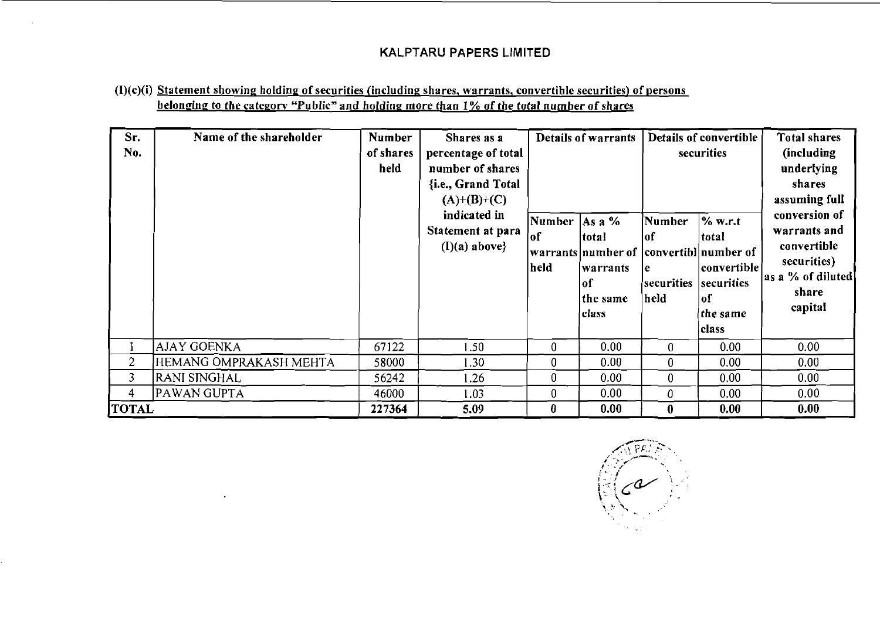### $(I)(c)(i)$  Statement showing holding of securities (including shares, warrants, convertible securities) of persons belonging to the category "Public" and holding more than **1** % of the total number of shares

| Sr.<br>No.     | Name of the shareholder | <b>Number</b><br>of shares<br>held | Shares as a<br>percentage of total<br>number of shares<br>{i.e., Grand Total<br>$(A)+(B)+(C)$<br>indicated in<br>Statement at para<br>$(I)(a)$ above} | Number   As a %<br>10 l<br>held | Details of warrants<br> total<br> warrants number of  convertibl number of<br>lwarrants<br>lof<br>the same<br>class | Number<br>lof<br>e<br>securities<br> held | Details of convertible<br>securities<br>$\%$ w.r.t<br> total<br>  convertible  <br>securities<br> of<br>the same<br>class | <b>Total shares</b><br>(including)<br>underlying<br>shares<br>assuming full<br>conversion of<br>warrants and<br>convertible<br>securities)<br>as a % of diluted<br>share<br>capital |
|----------------|-------------------------|------------------------------------|-------------------------------------------------------------------------------------------------------------------------------------------------------|---------------------------------|---------------------------------------------------------------------------------------------------------------------|-------------------------------------------|---------------------------------------------------------------------------------------------------------------------------|-------------------------------------------------------------------------------------------------------------------------------------------------------------------------------------|
|                | <b>AJAY GOENKA</b>      | 67122                              | 1.50                                                                                                                                                  | $\mathbf 0$                     | 0.00                                                                                                                | 0                                         | 0.00                                                                                                                      | 0.00                                                                                                                                                                                |
| $\overline{2}$ | HEMANG OMPRAKASH MEHTA  | 58000                              | 1.30                                                                                                                                                  | 0                               | 0.00                                                                                                                | $\mathbf{0}$                              | 0.00                                                                                                                      | 0.00                                                                                                                                                                                |
| 3              | RANI SINGHAL            | 56242                              | 1.26                                                                                                                                                  | 0                               | 0.00                                                                                                                | $\bf{0}$                                  | 0.00                                                                                                                      | 0.00 <sub>1</sub>                                                                                                                                                                   |
| 4              | PAWAN GUPTA             | 46000                              | 1.03                                                                                                                                                  | 0                               | 0.00                                                                                                                | 0                                         | 0.00                                                                                                                      | 0.00                                                                                                                                                                                |
| <b>TOTAL</b>   |                         | 227364                             | 5.09                                                                                                                                                  | $\bf{0}$                        | 0.00                                                                                                                | $\bf{0}$                                  | 0.00                                                                                                                      | 0.00                                                                                                                                                                                |

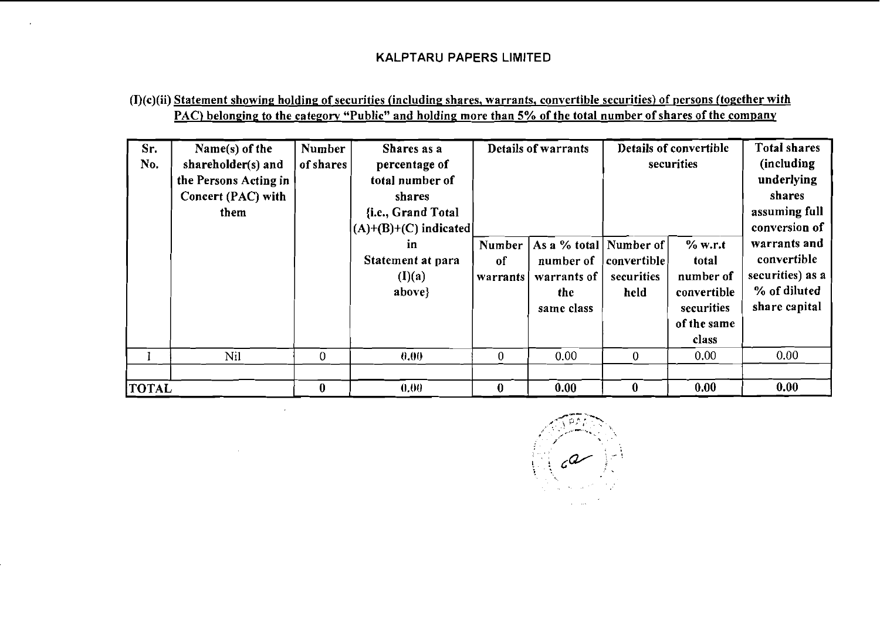### (I)(c)(ii) Statement showing holding of securities (including shares, warrants, convertible securities) of nersons (together with PAC) belonging to the category "Public" and holding more than 5% of the total number of shares of the company

| Sr.<br>No.   | Name $(s)$ of the<br>shareholder(s) and<br>the Persons Acting in<br>Concert (PAC) with<br>them | Number<br>of shares | Shares as a<br>percentage of<br>total number of<br>shares<br>{i.e., Grand Total<br>$(A)+(B)+(C)$ indicated |                          | Details of warrants                                                        |                                   | Details of convertible<br>securities                                               | <b>Total shares</b><br>(including)<br>underlying<br>shares<br>assuming full<br>conversion of |
|--------------|------------------------------------------------------------------------------------------------|---------------------|------------------------------------------------------------------------------------------------------------|--------------------------|----------------------------------------------------------------------------|-----------------------------------|------------------------------------------------------------------------------------|----------------------------------------------------------------------------------------------|
|              |                                                                                                |                     | in<br>Statement at para<br>(I)(a)<br>above}                                                                | Number<br>of<br>warrants | As a % total   Number of<br>number of<br>warrants of<br>the.<br>same class | convertible<br>securities<br>held | % w.r.t<br>total<br>number of<br>convertible<br>securities<br>of the same<br>class | warrants and<br>convertible<br>securities) as a<br>% of diluted<br>share capital             |
|              | Nil                                                                                            | $\theta$            | 0.00                                                                                                       | $\boldsymbol{0}$         | 0.00                                                                       | $\mathbf{0}$                      | 0.00                                                                               | 0.00                                                                                         |
| <b>TOTAL</b> |                                                                                                | $\bf{0}$            | 0.00                                                                                                       | $\bf{0}$                 | 0.00                                                                       | $\bf{0}$                          | 0.00                                                                               | 0.00                                                                                         |

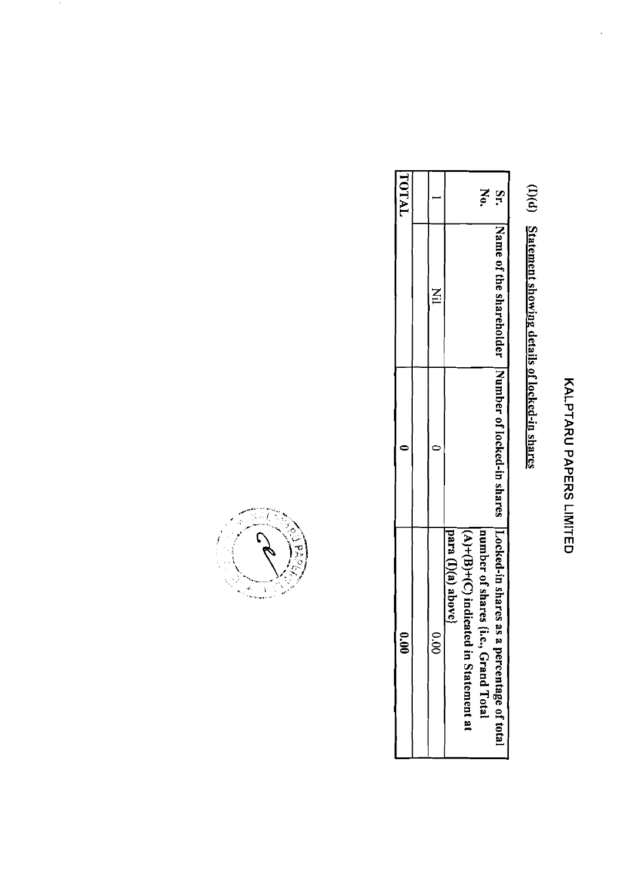## KALARAD PAPERS LIMITED

l,

# (I)(d) Statement showing details of locked-in shares

| ີ<br>ຣຶ                                      |                                                                                                                   |       | TOTAL  |
|----------------------------------------------|-------------------------------------------------------------------------------------------------------------------|-------|--------|
|                                              |                                                                                                                   |       |        |
| o.<br>S                                      |                                                                                                                   | $\Xi$ |        |
| para (I)(a) above}                           |                                                                                                                   |       |        |
| $(A)+(B)+(C)$ indicat<br>ted in Statement at |                                                                                                                   |       |        |
| number of shares (i.e., Grand Total          |                                                                                                                   |       | Š      |
| a percentage of total                        | Name of the share-produced in Number of fooked-in shares in Number of the share-produced in Section in Section 2. |       | u<br>T |



 $\gamma$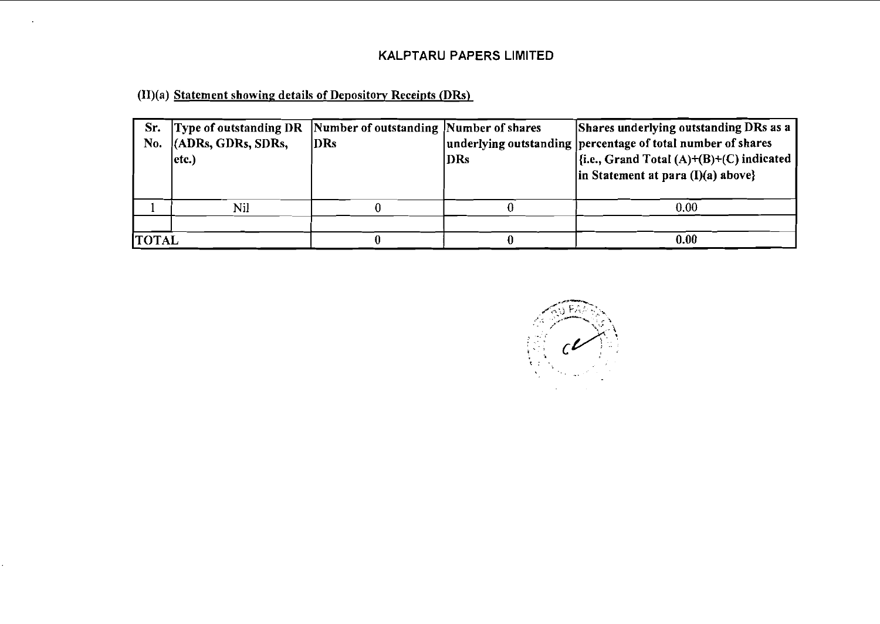(II)(a) Statement showing details of Depository Receipts (DRs)

| Sr.<br>No.   | Type of outstanding DR Number of outstanding Number of shares<br>(ADRs, GDRs, SDRs,<br>$ $ etc. $)$ | DRs | DRs | Shares underlying outstanding DRs as a<br>underlying outstanding percentage of total number of shares<br>$\left  \{i.e., Grand Total (A) + (B) + (C) indicated} \right $<br>$\ln$ Statement at para (I)(a) above} |
|--------------|-----------------------------------------------------------------------------------------------------|-----|-----|-------------------------------------------------------------------------------------------------------------------------------------------------------------------------------------------------------------------|
|              | Nil                                                                                                 |     |     | 0.00                                                                                                                                                                                                              |
| <b>TOTAL</b> |                                                                                                     |     |     | 0.00                                                                                                                                                                                                              |